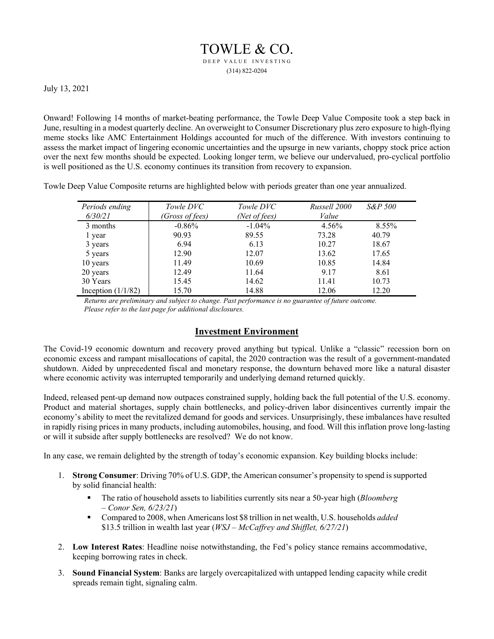## TOWLE & CO. DEEP VALUE INVESTING (314) 822-0204

July 13, 2021

Onward! Following 14 months of market-beating performance, the Towle Deep Value Composite took a step back in June, resulting in a modest quarterly decline. An overweight to Consumer Discretionary plus zero exposure to high-flying meme stocks like AMC Entertainment Holdings accounted for much of the difference. With investors continuing to assess the market impact of lingering economic uncertainties and the upsurge in new variants, choppy stock price action over the next few months should be expected. Looking longer term, we believe our undervalued, pro-cyclical portfolio is well positioned as the U.S. economy continues its transition from recovery to expansion.

Towle Deep Value Composite returns are highlighted below with periods greater than one year annualized.

| Periods ending       | Towle DVC       | Towle DVC     | Russell 2000 | S&P 500 |
|----------------------|-----------------|---------------|--------------|---------|
| 6/30/21              | (Gross of fees) | (Net of fees) | Value        |         |
| 3 months             | $-0.86%$        | $-1.04\%$     | 4.56%        | 8.55%   |
| 1 year               | 90.93           | 89.55         | 73.28        | 40.79   |
| 3 years              | 6.94            | 6.13          | 10.27        | 18.67   |
| 5 years              | 12.90           | 12.07         | 13.62        | 17.65   |
| 10 years             | 11.49           | 10.69         | 10.85        | 14.84   |
| 20 years             | 12.49           | 11.64         | 9.17         | 8.61    |
| 30 Years             | 15.45           | 14.62         | 11.41        | 10.73   |
| Inception $(1/1/82)$ | 15.70           | 14.88         | 12.06        | 12.20   |

*Returns are preliminary and subject to change. Past performance is no guarantee of future outcome. Please refer to the last page for additional disclosures.* 

## **Investment Environment**

The Covid-19 economic downturn and recovery proved anything but typical. Unlike a "classic" recession born on economic excess and rampant misallocations of capital, the 2020 contraction was the result of a government-mandated shutdown. Aided by unprecedented fiscal and monetary response, the downturn behaved more like a natural disaster where economic activity was interrupted temporarily and underlying demand returned quickly.

Indeed, released pent-up demand now outpaces constrained supply, holding back the full potential of the U.S. economy. Product and material shortages, supply chain bottlenecks, and policy-driven labor disincentives currently impair the economy's ability to meet the revitalized demand for goods and services. Unsurprisingly, these imbalances have resulted in rapidly rising prices in many products, including automobiles, housing, and food. Will this inflation prove long-lasting or will it subside after supply bottlenecks are resolved? We do not know.

In any case, we remain delighted by the strength of today's economic expansion. Key building blocks include:

- 1. **Strong Consumer**: Driving 70% of U.S. GDP, the American consumer's propensity to spend is supported by solid financial health:
	- The ratio of household assets to liabilities currently sits near a 50-year high (*Bloomberg – Conor Sen, 6/23/21*)
	- Compared to 2008, when Americans lost \$8 trillion in net wealth, U.S. households *added* \$13.5 trillion in wealth last year (*WSJ – McCaffrey and Shifflet, 6/27/21*)
- 2. **Low Interest Rates**: Headline noise notwithstanding, the Fed's policy stance remains accommodative, keeping borrowing rates in check.
- 3. **Sound Financial System**: Banks are largely overcapitalized with untapped lending capacity while credit spreads remain tight, signaling calm.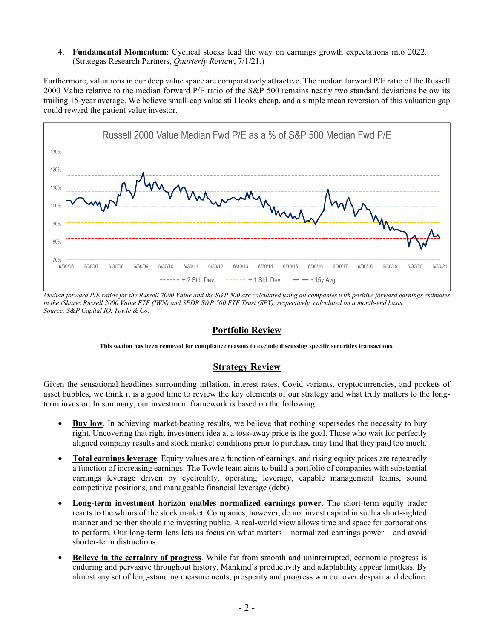4. **Fundamental Momentum**: Cyclical stocks lead the way on earnings growth expectations into 2022. (Strategas Research Partners, *Quarterly Review*, 7/1/21.)

Furthermore, valuations in our deep value space are comparatively attractive. The median forward P/E ratio of the Russell 2000 Value relative to the median forward P/E ratio of the S&P 500 remains nearly two standard deviations below its trailing 15-year average. We believe small-cap value still looks cheap, and a simple mean reversion of this valuation gap could reward the patient value investor.



*Median forward P/E ratios for the Russell 2000 Value and the S&P 500 are calculated using all companies with positive forward earnings estimates in the iShares Russell 2000 Value ETF (IWN) and SPDR S&P 500 ETF Trust (SPY), respectively, calculated on a month-end basis. Source: S&P Capital IQ, Towle & Co.* 

## **Portfolio Review**

**This section has been removed for compliance reasons to exclude discussing specific securities transactions.**

## **Strategy Review**

Given the sensational headlines surrounding inflation, interest rates, Covid variants, cryptocurrencies, and pockets of asset bubbles, we think it is a good time to review the key elements of our strategy and what truly matters to the longterm investor. In summary, our investment framework is based on the following:

- **Buy low**. In achieving market-beating results, we believe that nothing supersedes the necessity to buy right. Uncovering that right investment idea at a toss-away price is the goal. Those who wait for perfectly aligned company results and stock market conditions prior to purchase may find that they paid too much.
- **Total earnings leverage**. Equity values are a function of earnings, and rising equity prices are repeatedly a function of increasing earnings. The Towle team aims to build a portfolio of companies with substantial earnings leverage driven by cyclicality, operating leverage, capable management teams, sound competitive positions, and manageable financial leverage (debt).
- **Long-term investment horizon enables normalized earnings power**. The short-term equity trader reacts to the whims of the stock market. Companies, however, do not invest capital in such a short-sighted manner and neither should the investing public. A real-world view allows time and space for corporations to perform. Our long-term lens lets us focus on what matters – normalized earnings power – and avoid shorter-term distractions.
- **Believe in the certainty of progress**. While far from smooth and uninterrupted, economic progress is enduring and pervasive throughout history. Mankind's productivity and adaptability appear limitless. By almost any set of long-standing measurements, prosperity and progress win out over despair and decline.